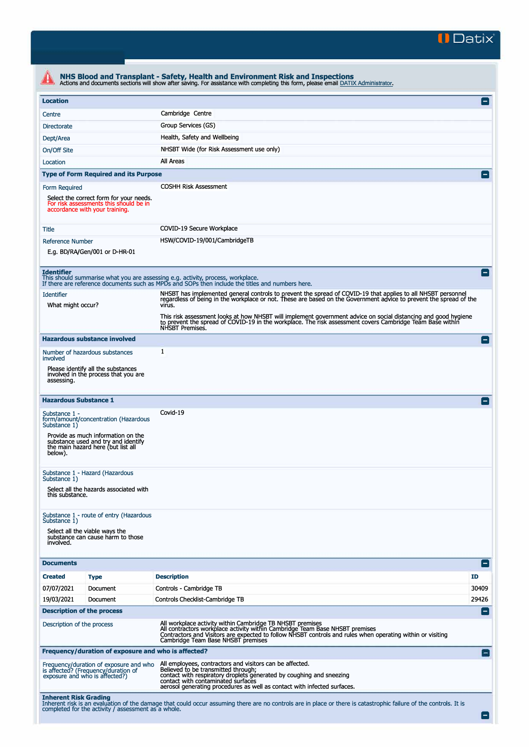

| <b>Location</b><br>Centre              |                                                                                                                     |                                                                                                                                                                                                                                                                                               | $\vert$ $\vert$ |
|----------------------------------------|---------------------------------------------------------------------------------------------------------------------|-----------------------------------------------------------------------------------------------------------------------------------------------------------------------------------------------------------------------------------------------------------------------------------------------|-----------------|
|                                        |                                                                                                                     | Cambridge Centre                                                                                                                                                                                                                                                                              |                 |
| <b>Directorate</b>                     |                                                                                                                     | Group Services (GS)                                                                                                                                                                                                                                                                           |                 |
| Dept/Area                              |                                                                                                                     | Health, Safety and Wellbeing                                                                                                                                                                                                                                                                  |                 |
| On/Off Site                            |                                                                                                                     | NHSBT Wide (for Risk Assessment use only)                                                                                                                                                                                                                                                     |                 |
| Location                               |                                                                                                                     | All Areas                                                                                                                                                                                                                                                                                     |                 |
|                                        | <b>Type of Form Required and its Purpose</b>                                                                        |                                                                                                                                                                                                                                                                                               |                 |
|                                        |                                                                                                                     |                                                                                                                                                                                                                                                                                               |                 |
| Form Required                          | Select the correct form for your needs.<br>For risk assessments this should be in<br>accordance with your training. | <b>COSHH Risk Assessment</b>                                                                                                                                                                                                                                                                  |                 |
| Title                                  |                                                                                                                     | COVID-19 Secure Workplace                                                                                                                                                                                                                                                                     |                 |
| <b>Reference Number</b>                |                                                                                                                     | HSW/COVID-19/001/CambridgeTB                                                                                                                                                                                                                                                                  |                 |
|                                        | E.g. BD/RA/Gen/001 or D-HR-01                                                                                       |                                                                                                                                                                                                                                                                                               |                 |
| <b>Identifier</b>                      |                                                                                                                     | This should summarise what you are assessing e.g. activity, process, workplace.<br>If there are reference documents such as MPDs and SOPs then include the titles and numbers here.                                                                                                           |                 |
| <b>Identifier</b><br>What might occur? |                                                                                                                     | NHSBT has implemented general controls to prevent the spread of COVID-19 that applies to all NHSBT personnel<br>regardless of being in the workplace or not. These are based on the Government advice to prevent the spread of th<br>virus.                                                   |                 |
|                                        |                                                                                                                     | This risk assessment looks at how NHSBT will implement government advice on social distancing and good hygiene<br>to prevent the spread of COVID-19 in the workplace. The risk assessment covers Cambridge Team Base within<br>NHSBT Premises.                                                |                 |
|                                        | <b>Hazardous substance involved</b>                                                                                 |                                                                                                                                                                                                                                                                                               | $\blacksquare$  |
| involved                               | Number of hazardous substances                                                                                      | $\mathbf{1}$                                                                                                                                                                                                                                                                                  |                 |
| assessing.                             | Please identify all the substances<br>involved in the process that you are                                          |                                                                                                                                                                                                                                                                                               |                 |
| <b>Hazardous Substance 1</b>           |                                                                                                                     |                                                                                                                                                                                                                                                                                               |                 |
| Substance 1 -<br>Substance 1)          | form/amount/concentration (Hazardous                                                                                | Covid-19                                                                                                                                                                                                                                                                                      |                 |
| below).                                | Provide as much information on the<br>substance used and try and identify<br>the main hazard here (but list all     |                                                                                                                                                                                                                                                                                               |                 |
| Substance 1)                           | Substance 1 - Hazard (Hazardous                                                                                     |                                                                                                                                                                                                                                                                                               |                 |
| this substance.                        | Select all the hazards associated with                                                                              |                                                                                                                                                                                                                                                                                               |                 |
| Substance 1)                           | Substance 1 - route of entry (Hazardous                                                                             |                                                                                                                                                                                                                                                                                               |                 |
| involved.                              | Select all the viable ways the<br>substance can cause harm to those                                                 |                                                                                                                                                                                                                                                                                               |                 |
| <b>Documents</b>                       |                                                                                                                     |                                                                                                                                                                                                                                                                                               | $\blacksquare$  |
| <b>Created</b>                         | <b>Type</b>                                                                                                         | <b>Description</b>                                                                                                                                                                                                                                                                            | ID              |
| 07/07/2021                             | Document                                                                                                            | Controls - Cambridge TB                                                                                                                                                                                                                                                                       | 30409           |
| 19/03/2021                             | Document                                                                                                            | Controls Checklist-Cambridge TB                                                                                                                                                                                                                                                               | 29426           |
|                                        | <b>Description of the process</b>                                                                                   |                                                                                                                                                                                                                                                                                               |                 |
| Description of the process             |                                                                                                                     | All workplace activity within Cambridge TB NHSBT premises<br>All contractors workplace activity within Cambridge Team Base NHSBT premises<br>Contractors and Visitors are expected to follow NHSBT controls and rules when operating within or visiting<br>Cambridge Team Base NHSBT premises |                 |
|                                        | Frequency/duration of exposure and who is affected?                                                                 |                                                                                                                                                                                                                                                                                               |                 |
|                                        | Frequency/duration of exposure and who<br>is affected? (Frequency/duration of<br>exposure and who is affected?)     | All employees, contractors and visitors can be affected.<br>Believed to be transmitted through;<br>contact with respiratory droplets generated by coughing and sneezing<br>contact with contaminated surfaces<br>aerosol generating procedures as well as contact with infected surfaces.     |                 |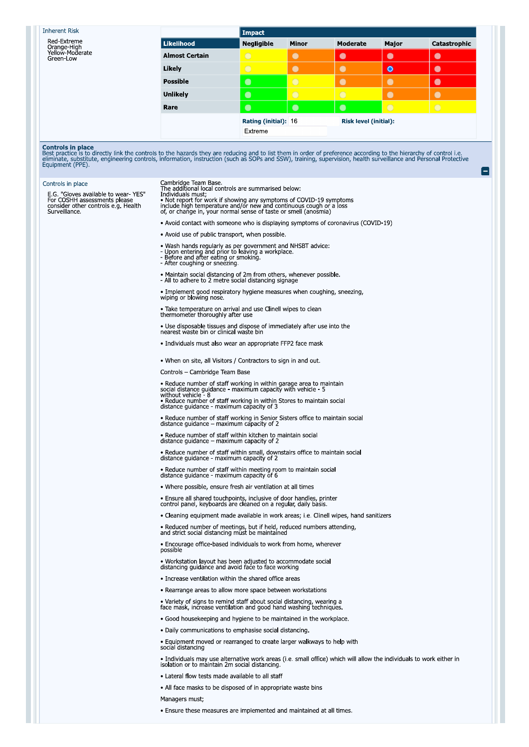## **Inherent Risk**

Red-Extreme<br>Orange-High<br>Yellow-Moderate<br>Green-Low

|                       | Impact               |              |                              |           |              |
|-----------------------|----------------------|--------------|------------------------------|-----------|--------------|
| Likelihood            | <b>Negligible</b>    | <b>Minor</b> | Moderate                     | Major     | Catastrophic |
| <b>Almost Certain</b> | $\overline{O}$       | C            | О                            | $\bullet$ | O            |
| Likely                |                      |              |                              | $\bullet$ |              |
| <b>Possible</b>       | $\bullet$            | $\epsilon$   |                              |           |              |
| <b>Unlikely</b>       | $\bullet$            | $\bigcap$    |                              | ۰         |              |
| Rare                  | $\bullet$            | C            |                              | $\bigcap$ |              |
|                       | Rating (initial): 16 |              | <b>Risk level (initial):</b> |           |              |
|                       | Extreme              |              |                              |           |              |

**Controls in place**<br>Best practice is to directly link the controls to the hazards they are reducing and to list them in order of preference according to the hierarchy of control i.e.<br>eliminate, substitute, engineering cont

| Controls in place<br>E.G. "Gloves available to wear-YES"<br>For COSHH assessments please<br>consider other controls e.g. Health | Cambridge Team Base.<br>The additional local controls are summarised below:<br>Individuals must;<br>• Not report for work if showing any symptoms of COVID-19 symptoms                    |  |
|---------------------------------------------------------------------------------------------------------------------------------|-------------------------------------------------------------------------------------------------------------------------------------------------------------------------------------------|--|
| Surveillance.                                                                                                                   | include high temperature and/or new and continuous cough or a loss of, or change in, your normal sense of taste or smell (anosmia)                                                        |  |
|                                                                                                                                 | • Avoid contact with someone who is displaying symptoms of coronavirus (COVID-19)                                                                                                         |  |
|                                                                                                                                 | • Avoid use of public transport, when possible                                                                                                                                            |  |
|                                                                                                                                 | • Wash hands regularly as per government and NHSBT advice:<br>- Upon entering and prior to leaving a workplace.<br>- Before and after eating or smoking.<br>- After coughing or sneezing. |  |
|                                                                                                                                 | • Maintain social distancing of 2m from others, whenever possible.<br>- All to adhere to 2 metre social distancing signage                                                                |  |
|                                                                                                                                 | • Implement good respiratory hygiene measures when coughing, sneezing,<br>wiping or blowing nose.                                                                                         |  |
|                                                                                                                                 | • Take temperature on arrival and use Clinell wipes to clean<br>thermometer thoroughly after use                                                                                          |  |
|                                                                                                                                 | • Use disposable tissues and dispose of immediately after use into the<br>nearest waste bin or clinical waste bin                                                                         |  |
|                                                                                                                                 | • Individuals must also wear an appropriate FFP2 face mask                                                                                                                                |  |
|                                                                                                                                 | . When on site, all Visitors / Contractors to sign in and out                                                                                                                             |  |
|                                                                                                                                 | Controls – Cambridge Team Base                                                                                                                                                            |  |
|                                                                                                                                 | • Reduce number of staff working in within garage area to maintain social distance guidance - maximum capacity with vehicle - 5                                                           |  |
|                                                                                                                                 | without vehicle - 8<br>• Reduce number of staff working in within Stores to maintain social<br>distance guidance - maximum capacity of 3                                                  |  |
|                                                                                                                                 | • Reduce number of staff working in Senior Sisters office to maintain social<br>distance quidance – maximum capacity of 2                                                                 |  |
|                                                                                                                                 | • Reduce number of staff within kitchen to maintain social<br>distance quidance - maximum capacity of 2                                                                                   |  |
|                                                                                                                                 | • Reduce number of staff within small, downstairs office to maintain social<br>distance guidance - maximum capacity of 2                                                                  |  |
|                                                                                                                                 | • Reduce number of staff within meeting room to maintain social<br>distance guidance - maximum capacity of 6                                                                              |  |
|                                                                                                                                 | • Where possible, ensure fresh air ventilation at all times                                                                                                                               |  |
|                                                                                                                                 | • Ensure all shared touchpoints, inclusive of door handles, printer<br>control panel, keyboards are cleaned on a regular, daily basis.                                                    |  |
|                                                                                                                                 | • Cleaning equipment made available in work areas; i.e. Clinell wipes, hand sanitizers                                                                                                    |  |
|                                                                                                                                 | • Reduced number of meetings, but if held, reduced numbers attending,<br>and strict social distancing must be maintained                                                                  |  |
|                                                                                                                                 | • Encourage office-based individuals to work from home, wherever<br>possible                                                                                                              |  |
|                                                                                                                                 | • Workstation layout has been adjusted to accommodate social<br>distancing guidance and avoid face to face working                                                                        |  |
|                                                                                                                                 | • Increase ventilation within the shared office areas                                                                                                                                     |  |
|                                                                                                                                 | • Rearrange areas to allow more space between workstations                                                                                                                                |  |
|                                                                                                                                 | • Variety of signs to remind staff about social distancing, wearing a<br>face mask, increase ventilation and good hand washing techniques.                                                |  |
|                                                                                                                                 | • Good housekeeping and hygiene to be maintained in the workplace.                                                                                                                        |  |
|                                                                                                                                 | • Daily communications to emphasise social distancing.                                                                                                                                    |  |
|                                                                                                                                 | • Equipment moved or rearranged to create larger walkways to help with<br>social distancing                                                                                               |  |
|                                                                                                                                 | . Individuals may use alternative work areas (i.e. small office) which will allow the individuals to work either in<br>isolation or to maintain 2m social distancing.                     |  |
|                                                                                                                                 | • Lateral flow tests made available to all staff                                                                                                                                          |  |
|                                                                                                                                 | • All face masks to be disposed of in appropriate waste bins                                                                                                                              |  |
|                                                                                                                                 | Managers must;                                                                                                                                                                            |  |
|                                                                                                                                 | • Ensure these measures are implemented and maintained at all times                                                                                                                       |  |